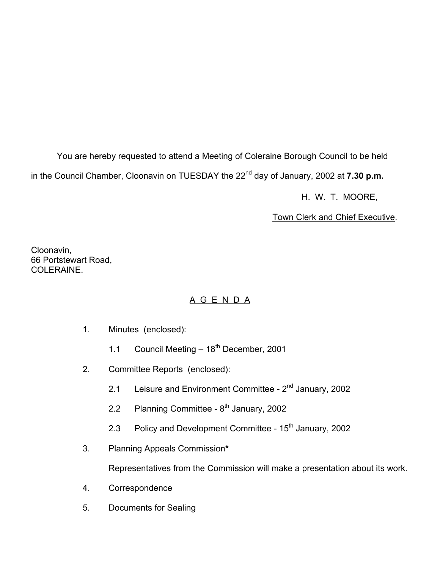You are hereby requested to attend a Meeting of Coleraine Borough Council to be held in the Council Chamber, Cloonavin on TUESDAY the 22<sup>nd</sup> day of January, 2002 at **7.30 p.m.** 

H. W. T. MOORE,

Town Clerk and Chief Executive.

Cloonavin, 66 Portstewart Road, COLERAINE.

# A G E N D A

- 1. Minutes (enclosed):
	- 1.1 Council Meeting  $-18^{th}$  December, 2001
- 2. Committee Reports (enclosed):
	- 2.1 Leisure and Environment Committee 2<sup>nd</sup> January, 2002
	- 2.2 Planning Committee  $8<sup>th</sup>$  January, 2002
	- 2.3 Policy and Development Committee  $15<sup>th</sup>$  January, 2002
- 3. Planning Appeals Commission**\***

Representatives from the Commission will make a presentation about its work.

- 4. Correspondence
- 5. Documents for Sealing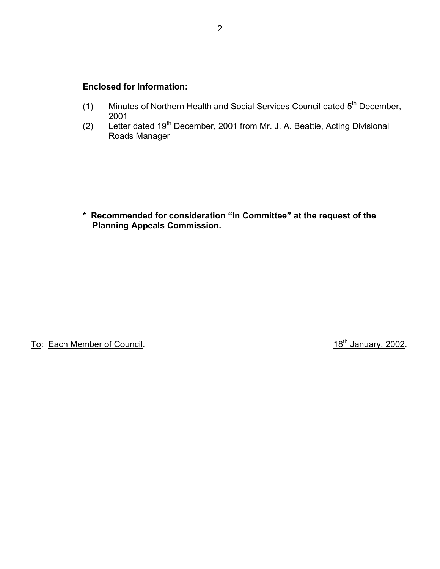## **Enclosed for Information:**

- (1) Minutes of Northern Health and Social Services Council dated  $5<sup>th</sup>$  December, 2001
- (2) Letter dated 19th December, 2001 from Mr. J. A. Beattie, Acting Divisional Roads Manager

 **\* Recommended for consideration "In Committee" at the request of the Planning Appeals Commission.** 

To: Each Member of Council. To: Each Member of Council.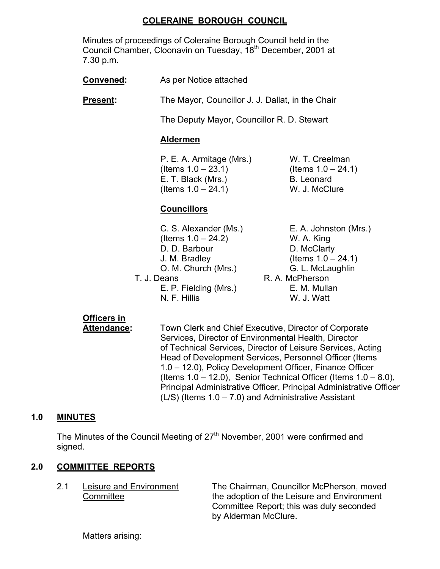## **COLERAINE BOROUGH COUNCIL**

 Minutes of proceedings of Coleraine Borough Council held in the Council Chamber, Cloonavin on Tuesday, 18<sup>th</sup> December, 2001 at 7.30 p.m.

**Convened:** As per Notice attached

**Present:** The Mayor, Councillor J. J. Dallat, in the Chair

The Deputy Mayor, Councillor R. D. Stewart

#### **Aldermen**

 P. E. A. Armitage (Mrs.) W. T. Creelman  $($ ltems  $1.0 - 23.1)$  (Items  $1.0 - 24.1)$ E. T. Black (Mrs.) B. Leonard  $($  Items  $1.0 - 24.1)$  W. J. McClure

# **Councillors**

| C. S. Alexander (Ms.) | E. A. Johnston (Mrs.) |
|-----------------------|-----------------------|
| (Items $1.0 - 24.2$ ) | W. A. King            |
| D. D. Barbour         | D. McClarty           |
| J. M. Bradley         | (Items $1.0 - 24.1$ ) |
| O. M. Church (Mrs.)   | G. L. McLaughlin      |
| T. J. Deans           | R. A. McPherson       |
| E. P. Fielding (Mrs.) | E. M. Mullan          |
| N. F. Hillis          | W. J. Watt            |

# **Officers in**

 **Attendance:** Town Clerk and Chief Executive, Director of Corporate Services, Director of Environmental Health, Director of Technical Services, Director of Leisure Services, Acting Head of Development Services, Personnel Officer (Items 1.0 – 12.0), Policy Development Officer, Finance Officer (Items  $1.0 - 12.0$ ), Senior Technical Officer (Items  $1.0 - 8.0$ ), Principal Administrative Officer, Principal Administrative Officer  $(L/S)$  (Items  $1.0 - 7.0$ ) and Administrative Assistant

#### **1.0 MINUTES**

The Minutes of the Council Meeting of 27<sup>th</sup> November, 2001 were confirmed and signed.

#### **2.0 COMMITTEE REPORTS**

 2.1 Leisure and Environment The Chairman, Councillor McPherson, moved Committee the adoption of the Leisure and Environment Committee Report; this was duly seconded by Alderman McClure.

Matters arising: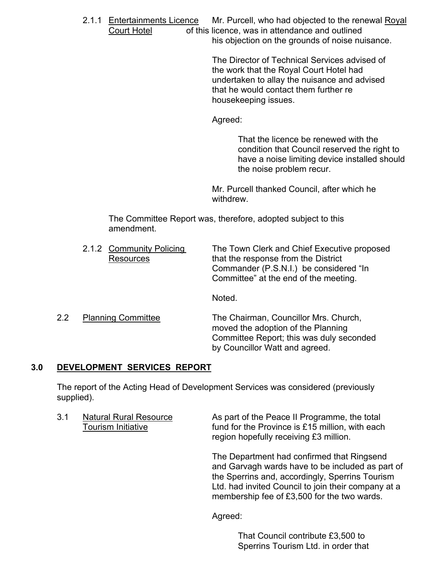2.1.1 Entertainments Licence Mr. Purcell, who had objected to the renewal Royal Court Hotel of this licence, was in attendance and outlined his objection on the grounds of noise nuisance.

> The Director of Technical Services advised of the work that the Royal Court Hotel had undertaken to allay the nuisance and advised that he would contact them further re housekeeping issues.

Agreed:

That the licence be renewed with the condition that Council reserved the right to have a noise limiting device installed should the noise problem recur.

 Mr. Purcell thanked Council, after which he withdrew.

 The Committee Report was, therefore, adopted subject to this amendment.

2.1.2 Community Policing The Town Clerk and Chief Executive proposed Resources that the response from the District Commander (P.S.N.I.) be considered "In Committee" at the end of the meeting.

Noted.

2.2 Planning Committee The Chairman, Councillor Mrs. Church, moved the adoption of the Planning Committee Report; this was duly seconded by Councillor Watt and agreed.

# **3.0 DEVELOPMENT SERVICES REPORT**

 The report of the Acting Head of Development Services was considered (previously supplied).

3.1 Natural Rural Resource As part of the Peace II Programme, the total Tourism Initiative **Fund for the Province is £15 million**, with each region hopefully receiving £3 million.

> The Department had confirmed that Ringsend and Garvagh wards have to be included as part of the Sperrins and, accordingly, Sperrins Tourism Ltd. had invited Council to join their company at a membership fee of £3,500 for the two wards.

Agreed:

 That Council contribute £3,500 to Sperrins Tourism Ltd. in order that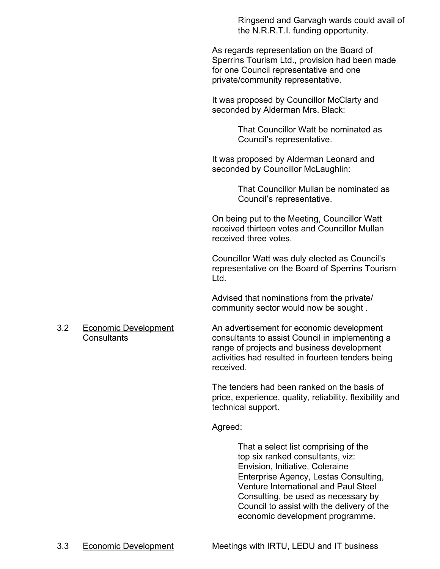Ringsend and Garvagh wards could avail of the N.R.R.T.I. funding opportunity.

As regards representation on the Board of Sperrins Tourism Ltd., provision had been made for one Council representative and one private/community representative.

It was proposed by Councillor McClarty and seconded by Alderman Mrs. Black:

> That Councillor Watt be nominated as Council's representative.

It was proposed by Alderman Leonard and seconded by Councillor McLaughlin:

> That Councillor Mullan be nominated as Council's representative.

On being put to the Meeting, Councillor Watt received thirteen votes and Councillor Mullan received three votes.

Councillor Watt was duly elected as Council's representative on the Board of Sperrins Tourism Ltd.

Advised that nominations from the private/ community sector would now be sought .

 3.2 Economic Development An advertisement for economic development Consultants consultants to assist Council in implementing a range of projects and business development activities had resulted in fourteen tenders being received.

> The tenders had been ranked on the basis of price, experience, quality, reliability, flexibility and technical support.

Agreed:

That a select list comprising of the top six ranked consultants, viz: Envision, Initiative, Coleraine Enterprise Agency, Lestas Consulting, Venture International and Paul Steel Consulting, be used as necessary by Council to assist with the delivery of the economic development programme.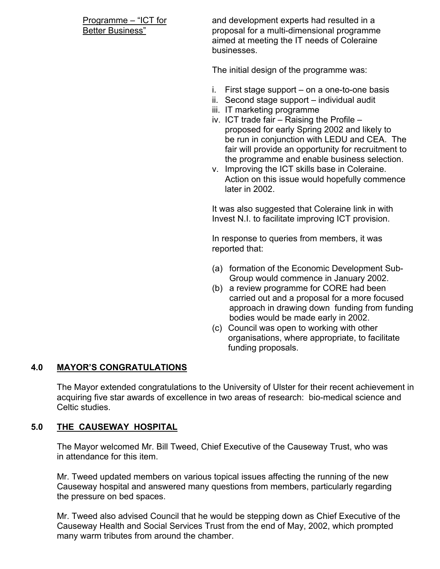Programme – "ICT for and development experts had resulted in a Better Business" proposal for a multi-dimensional programme aimed at meeting the IT needs of Coleraine businesses.

The initial design of the programme was:

- i. First stage support on a one-to-one basis
- ii. Second stage support individual audit
- iii. IT marketing programme
- iv. ICT trade fair Raising the Profile proposed for early Spring 2002 and likely to be run in conjunction with LEDU and CEA. The fair will provide an opportunity for recruitment to the programme and enable business selection.
- v. Improving the ICT skills base in Coleraine. Action on this issue would hopefully commence later in 2002.

It was also suggested that Coleraine link in with Invest N.I. to facilitate improving ICT provision.

In response to queries from members, it was reported that:

- (a) formation of the Economic Development Sub-Group would commence in January 2002.
- (b) a review programme for CORE had been carried out and a proposal for a more focused approach in drawing down funding from funding bodies would be made early in 2002.
- (c) Council was open to working with other organisations, where appropriate, to facilitate funding proposals.

#### **4.0 MAYOR'S CONGRATULATIONS**

The Mayor extended congratulations to the University of Ulster for their recent achievement in acquiring five star awards of excellence in two areas of research: bio-medical science and Celtic studies.

#### **5.0 THE CAUSEWAY HOSPITAL**

 The Mayor welcomed Mr. Bill Tweed, Chief Executive of the Causeway Trust, who was in attendance for this item.

 Mr. Tweed updated members on various topical issues affecting the running of the new Causeway hospital and answered many questions from members, particularly regarding the pressure on bed spaces.

Mr. Tweed also advised Council that he would be stepping down as Chief Executive of the Causeway Health and Social Services Trust from the end of May, 2002, which prompted many warm tributes from around the chamber.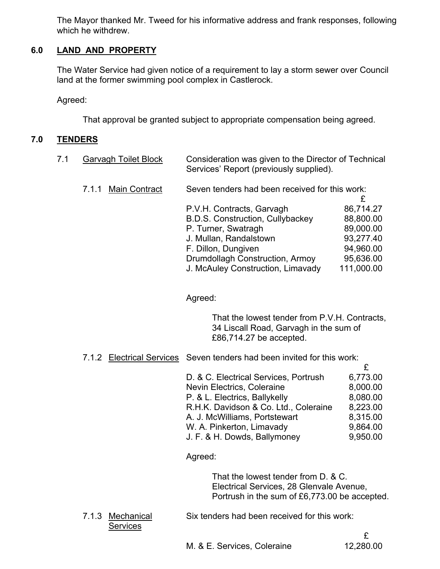The Mayor thanked Mr. Tweed for his informative address and frank responses, following which he withdrew.

# **6.0 LAND AND PROPERTY**

The Water Service had given notice of a requirement to lay a storm sewer over Council land at the former swimming pool complex in Castlerock.

Agreed:

That approval be granted subject to appropriate compensation being agreed.

## **7.0 TENDERS**

| 7.1 | <b>Garvagh Toilet Block</b> | Consideration was given to the Director of Technical |
|-----|-----------------------------|------------------------------------------------------|
|     |                             | Services' Report (previously supplied).              |

7.1.1 Main Contract Seven tenders had been received for this work:

| P.V.H. Contracts, Garvagh         | 86,714.27  |
|-----------------------------------|------------|
| B.D.S. Construction, Cullybackey  | 88,800.00  |
| P. Turner, Swatragh               | 89,000.00  |
| J. Mullan, Randalstown            | 93,277.40  |
| F. Dillon, Dungiven               | 94,960.00  |
| Drumdollagh Construction, Armoy   | 95,636.00  |
| J. McAuley Construction, Limavady | 111,000.00 |

Agreed:

 That the lowest tender from P.V.H. Contracts, 34 Liscall Road, Garvagh in the sum of £86,714.27 be accepted.

7.1.2 Electrical Services Seven tenders had been invited for this work:

| 6,773.00 |
|----------|
| 8,000.00 |
| 8,080.00 |
| 8,223.00 |
| 8,315.00 |
| 9,864.00 |
| 9,950.00 |
|          |

Agreed:

 That the lowest tender from D. & C. Electrical Services, 28 Glenvale Avenue, Portrush in the sum of £6,773.00 be accepted.

7.1.3 Mechanical Six tenders had been received for this work: **Services**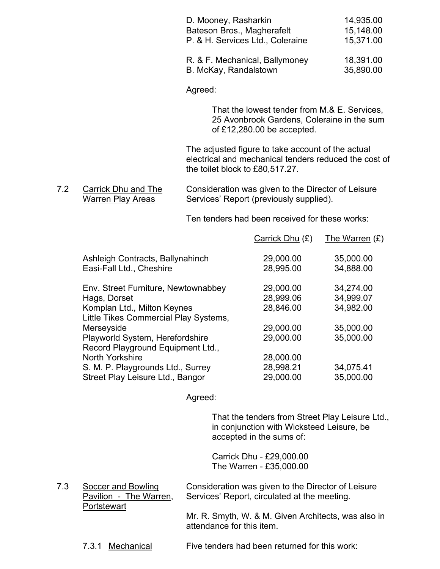| D. Mooney, Rasharkin<br>Bateson Bros., Magherafelt<br>P. & H. Services Ltd., Coleraine | 14,935.00<br>15,148.00<br>15,371.00 |
|----------------------------------------------------------------------------------------|-------------------------------------|
| R. & F. Mechanical, Ballymoney<br>B. McKay, Randalstown                                | 18,391.00<br>35,890.00              |

Agreed:

 That the lowest tender from M.& E. Services, 25 Avonbrook Gardens, Coleraine in the sum of £12,280.00 be accepted.

 The adjusted figure to take account of the actual electrical and mechanical tenders reduced the cost of the toilet block to £80,517.27.

Ten tenders had been received for these works:

|                                       | Carrick Dhu (£) | The Warren $(E)$ |
|---------------------------------------|-----------------|------------------|
| Ashleigh Contracts, Ballynahinch      | 29,000.00       | 35,000.00        |
| Easi-Fall Ltd., Cheshire              | 28,995.00       | 34,888.00        |
| Env. Street Furniture, Newtownabbey   | 29,000.00       | 34,274.00        |
| Hags, Dorset                          | 28,999.06       | 34,999.07        |
| Komplan Ltd., Milton Keynes           | 28,846.00       | 34,982.00        |
| Little Tikes Commercial Play Systems, |                 |                  |
| Merseyside                            | 29,000.00       | 35,000.00        |
| Playworld System, Herefordshire       | 29,000.00       | 35,000.00        |
| Record Playground Equipment Ltd.,     |                 |                  |
| North Yorkshire                       | 28,000.00       |                  |
| S. M. P. Playgrounds Ltd., Surrey     | 28,998.21       | 34,075.41        |
| Street Play Leisure Ltd., Bangor      | 29,000.00       | 35,000.00        |
|                                       |                 |                  |

Agreed:

 That the tenders from Street Play Leisure Ltd., in conjunction with Wicksteed Leisure, be accepted in the sums of:

 Carrick Dhu - £29,000.00 The Warren - £35,000.00

7.3 Soccer and Bowling Consideration was given to the Director of Leisure<br>Pavilion - The Warren, Services' Report, circulated at the meeting. Services' Report, circulated at the meeting. **Portstewart** 

> Mr. R. Smyth, W. & M. Given Architects, was also in attendance for this item.

7.3.1 Mechanical Five tenders had been returned for this work:

<sup>7.2</sup> Carrick Dhu and The Consideration was given to the Director of Leisure<br>Warren Play Areas Services' Report (previously supplied). Services' Report (previously supplied).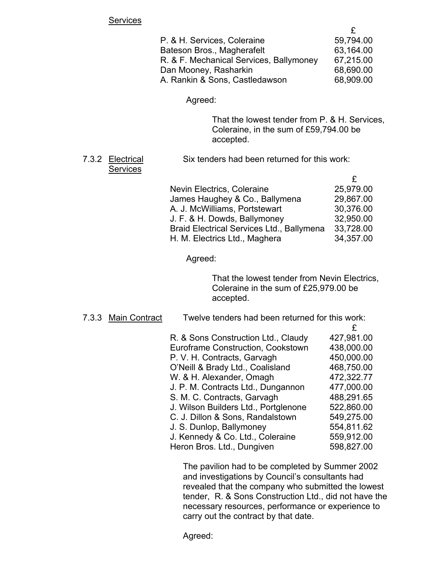#### **Services**

| P. & H. Services, Coleraine             | 59,794.00 |
|-----------------------------------------|-----------|
| Bateson Bros., Magherafelt              | 63,164.00 |
| R. & F. Mechanical Services, Ballymoney | 67,215.00 |
| Dan Mooney, Rasharkin                   | 68,690.00 |
| A. Rankin & Sons, Castledawson          | 68,909.00 |

Agreed:

 That the lowest tender from P. & H. Services, Coleraine, in the sum of £59,794.00 be accepted.

#### 7.3.2 Electrical Six tenders had been returned for this work: **Services**

| Nevin Electrics, Coleraine                       | 25,979.00 |
|--------------------------------------------------|-----------|
| James Haughey & Co., Ballymena                   | 29,867.00 |
| A. J. McWilliams, Portstewart                    | 30,376.00 |
| J. F. & H. Dowds, Ballymoney                     | 32,950.00 |
| <b>Braid Electrical Services Ltd., Ballymena</b> | 33,728.00 |
| H. M. Electrics Ltd., Maghera                    | 34,357.00 |

Agreed:

 That the lowest tender from Nevin Electrics, Coleraine in the sum of £25,979.00 be accepted.

7.3.3 Main Contract Twelve tenders had been returned for this work:

| R. & Sons Construction Ltd., Claudy  | 427,981.00 |
|--------------------------------------|------------|
| Euroframe Construction, Cookstown    | 438,000.00 |
| P. V. H. Contracts, Garvagh          | 450,000.00 |
| O'Neill & Brady Ltd., Coalisland     | 468,750.00 |
| W. & H. Alexander, Omagh             | 472,322.77 |
| J. P. M. Contracts Ltd., Dungannon   | 477,000.00 |
| S. M. C. Contracts, Garvagh          | 488,291.65 |
| J. Wilson Builders Ltd., Portglenone | 522,860.00 |
| C. J. Dillon & Sons, Randalstown     | 549,275.00 |
| J. S. Dunlop, Ballymoney             | 554,811.62 |
| J. Kennedy & Co. Ltd., Coleraine     | 559,912.00 |
| Heron Bros. Ltd., Dungiven           | 598,827.00 |
|                                      |            |

 The pavilion had to be completed by Summer 2002 and investigations by Council's consultants had revealed that the company who submitted the lowest tender, R. & Sons Construction Ltd., did not have the necessary resources, performance or experience to carry out the contract by that date.

Agreed: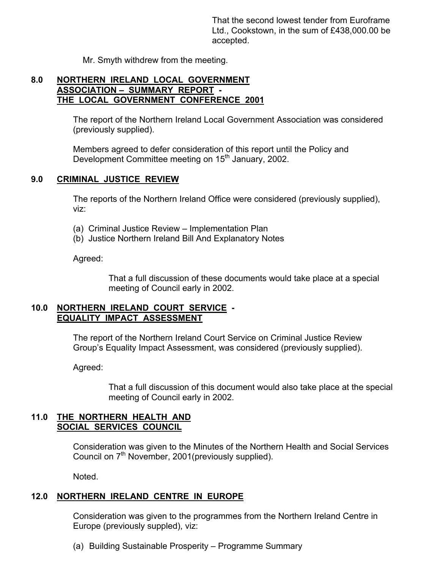That the second lowest tender from Euroframe Ltd., Cookstown, in the sum of £438,000.00 be accepted.

Mr. Smyth withdrew from the meeting.

#### **8.0 NORTHERN IRELAND LOCAL GOVERNMENT ASSOCIATION – SUMMARY REPORT - THE LOCAL GOVERNMENT CONFERENCE 2001**

 The report of the Northern Ireland Local Government Association was considered (previously supplied).

 Members agreed to defer consideration of this report until the Policy and Development Committee meeting on 15<sup>th</sup> January, 2002.

### **9.0 CRIMINAL JUSTICE REVIEW**

The reports of the Northern Ireland Office were considered (previously supplied), viz:

- (a) Criminal Justice Review Implementation Plan
- (b) Justice Northern Ireland Bill And Explanatory Notes

Agreed:

 That a full discussion of these documents would take place at a special meeting of Council early in 2002.

### **10.0 NORTHERN IRELAND COURT SERVICE - EQUALITY IMPACT ASSESSMENT**

 The report of the Northern Ireland Court Service on Criminal Justice Review Group's Equality Impact Assessment, was considered (previously supplied).

Agreed:

 That a full discussion of this document would also take place at the special meeting of Council early in 2002.

#### **11.0 THE NORTHERN HEALTH AND SOCIAL SERVICES COUNCIL**

Consideration was given to the Minutes of the Northern Health and Social Services Council on  $7<sup>th</sup>$  November, 2001(previously supplied).

Noted.

# **12.0 NORTHERN IRELAND CENTRE IN EUROPE**

 Consideration was given to the programmes from the Northern Ireland Centre in Europe (previously suppled), viz:

(a) Building Sustainable Prosperity – Programme Summary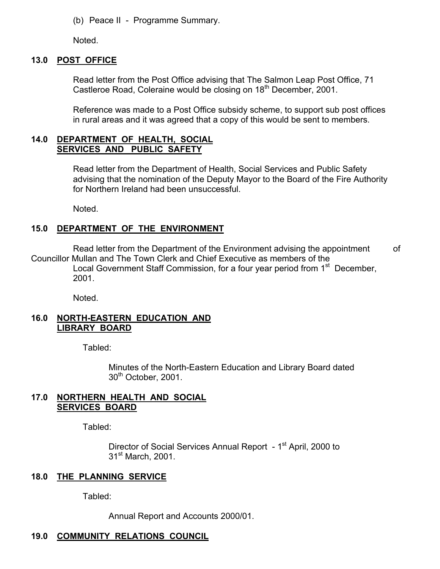(b) Peace II - Programme Summary.

Noted.

## **13.0 POST OFFICE**

 Read letter from the Post Office advising that The Salmon Leap Post Office, 71 Castleroe Road, Coleraine would be closing on 18<sup>th</sup> December, 2001.

 Reference was made to a Post Office subsidy scheme, to support sub post offices in rural areas and it was agreed that a copy of this would be sent to members.

#### **14.0 DEPARTMENT OF HEALTH, SOCIAL SERVICES AND PUBLIC SAFETY**

 Read letter from the Department of Health, Social Services and Public Safety advising that the nomination of the Deputy Mayor to the Board of the Fire Authority for Northern Ireland had been unsuccessful.

Noted.

# **15.0 DEPARTMENT OF THE ENVIRONMENT**

Read letter from the Department of the Environment advising the appointment of Councillor Mullan and The Town Clerk and Chief Executive as members of the Local Government Staff Commission, for a four year period from 1<sup>st</sup> December, 2001.

Noted.

### **16.0 NORTH-EASTERN EDUCATION AND LIBRARY BOARD**

Tabled:

 Minutes of the North-Eastern Education and Library Board dated 30<sup>th</sup> October, 2001.

#### **17.0 NORTHERN HEALTH AND SOCIAL SERVICES BOARD**

Tabled:

Director of Social Services Annual Report - 1<sup>st</sup> April, 2000 to 31<sup>st</sup> March, 2001.

# **18.0 THE PLANNING SERVICE**

Tabled:

Annual Report and Accounts 2000/01.

# **19.0 COMMUNITY RELATIONS COUNCIL**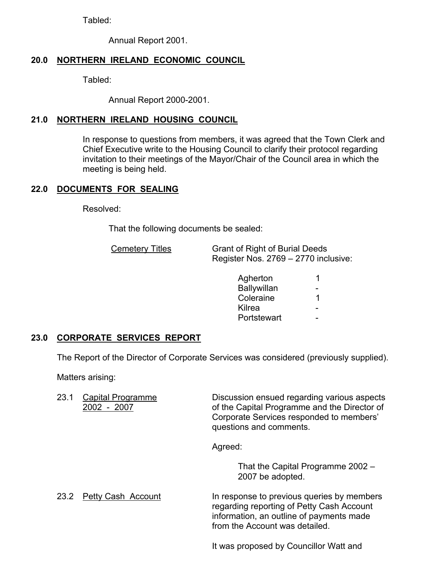Tabled:

Annual Report 2001.

# **20.0 NORTHERN IRELAND ECONOMIC COUNCIL**

Tabled:

Annual Report 2000-2001.

# **21.0 NORTHERN IRELAND HOUSING COUNCIL**

 In response to questions from members, it was agreed that the Town Clerk and Chief Executive write to the Housing Council to clarify their protocol regarding invitation to their meetings of the Mayor/Chair of the Council area in which the meeting is being held.

# **22.0 DOCUMENTS FOR SEALING**

Resolved:

That the following documents be sealed:

| <b>Cemetery Titles</b> | <b>Grant of Right of Burial Deeds</b> |
|------------------------|---------------------------------------|
|                        | Register Nos. 2769 – 2770 inclusive:  |

| Agherton    | -1                       |
|-------------|--------------------------|
|             | $\overline{\phantom{a}}$ |
| Coleraine   | $\blacktriangleleft$     |
| Kilrea      | $\sim$                   |
| Portstewart | -                        |
|             | <b>Ballywillan</b>       |

# **23.0 CORPORATE SERVICES REPORT**

The Report of the Director of Corporate Services was considered (previously supplied).

Matters arising:

23.1 Capital Programme Discussion ensued regarding various aspects 2002 - 2007 of the Capital Programme and the Director of Corporate Services responded to members' questions and comments.

Agreed:

 That the Capital Programme 2002 – 2007 be adopted.

23.2 Petty Cash Account In response to previous queries by members regarding reporting of Petty Cash Account information, an outline of payments made from the Account was detailed.

It was proposed by Councillor Watt and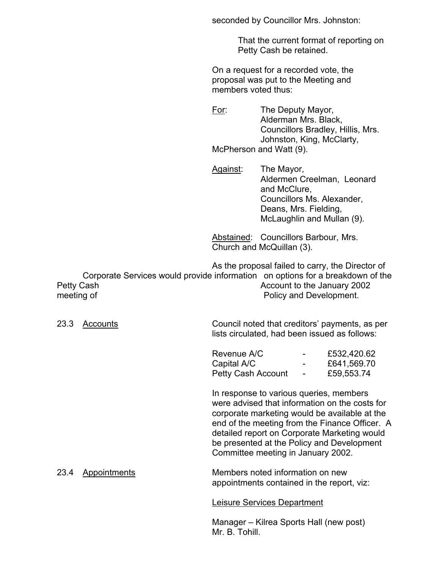seconded by Councillor Mrs. Johnston:

 That the current format of reporting on Petty Cash be retained.

 On a request for a recorded vote, the proposal was put to the Meeting and members voted thus:

 For: The Deputy Mayor, Alderman Mrs. Black, Councillors Bradley, Hillis, Mrs. Johnston, King, McClarty, McPherson and Watt (9).

Against: The Mayor, Aldermen Creelman, Leonard and McClure, Councillors Ms. Alexander, Deans, Mrs. Fielding, McLaughlin and Mullan (9).

 Abstained: Councillors Barbour, Mrs. Church and McQuillan (3).

 As the proposal failed to carry, the Director of Corporate Services would provide information on options for a breakdown of the Petty Cash **Petty Cash Account to the January 2002** meeting of **Policy and Development.** 

 23.3 Accounts Council noted that creditors' payments, as per lists circulated, had been issued as follows:

| Revenue A/C        | $\sim$ 100 $\mu$                  | £532,420.62 |
|--------------------|-----------------------------------|-------------|
| Capital A/C        | <b>Contract Contract</b>          | £641,569.70 |
| Petty Cash Account | <b>Contract Contract Contract</b> | £59,553.74  |

 In response to various queries, members were advised that information on the costs for corporate marketing would be available at the end of the meeting from the Finance Officer. A detailed report on Corporate Marketing would be presented at the Policy and Development Committee meeting in January 2002.

 23.4 Appointments Members noted information on new appointments contained in the report, viz:

Leisure Services Department

 Manager – Kilrea Sports Hall (new post) Mr. B. Tohill.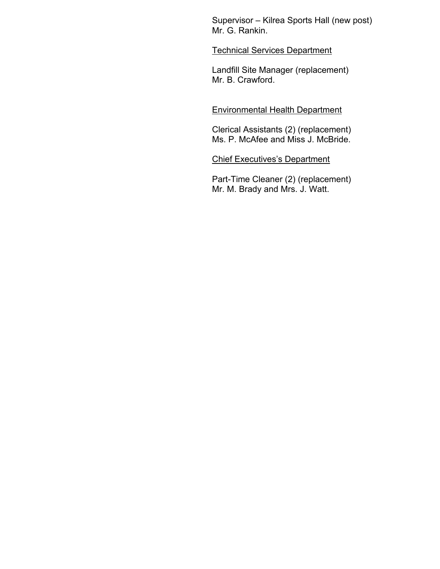Supervisor – Kilrea Sports Hall (new post) Mr. G. Rankin.

#### Technical Services Department

 Landfill Site Manager (replacement) Mr. B. Crawford.

#### Environmental Health Department

 Clerical Assistants (2) (replacement) Ms. P. McAfee and Miss J. McBride.

#### Chief Executives's Department

 Part-Time Cleaner (2) (replacement) Mr. M. Brady and Mrs. J. Watt.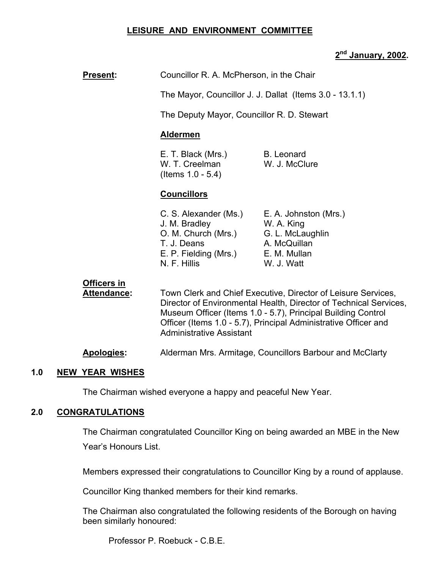#### **LEISURE AND ENVIRONMENT COMMITTEE**

# **2nd January, 2002.**

| <b>Present:</b>                   | Councillor R. A. McPherson, in the Chair                                                                                                                                                                                                                                                                 |                                                                                                       |  |  |
|-----------------------------------|----------------------------------------------------------------------------------------------------------------------------------------------------------------------------------------------------------------------------------------------------------------------------------------------------------|-------------------------------------------------------------------------------------------------------|--|--|
|                                   | The Mayor, Councillor J. J. Dallat (Items 3.0 - 13.1.1)                                                                                                                                                                                                                                                  |                                                                                                       |  |  |
|                                   | The Deputy Mayor, Councillor R. D. Stewart                                                                                                                                                                                                                                                               |                                                                                                       |  |  |
|                                   | <b>Aldermen</b>                                                                                                                                                                                                                                                                                          |                                                                                                       |  |  |
|                                   | E. T. Black (Mrs.)<br>W. T. Creelman<br>(Items $1.0 - 5.4$ )                                                                                                                                                                                                                                             | <b>B.</b> Leonard<br>W. J. McClure                                                                    |  |  |
|                                   | <b>Councillors</b>                                                                                                                                                                                                                                                                                       |                                                                                                       |  |  |
|                                   | C. S. Alexander (Ms.)<br>J. M. Bradley<br>O. M. Church (Mrs.)<br>T. J. Deans<br>E. P. Fielding (Mrs.)<br>N. F. Hillis                                                                                                                                                                                    | E. A. Johnston (Mrs.)<br>W. A. King<br>G. L. McLaughlin<br>A. McQuillan<br>E. M. Mullan<br>W. J. Watt |  |  |
| <b>Officers in</b><br>Attendance: | Town Clerk and Chief Executive, Director of Leisure Services,<br>Director of Environmental Health, Director of Technical Services,<br>Museum Officer (Items 1.0 - 5.7), Principal Building Control<br>Officer (Items 1.0 - 5.7), Principal Administrative Officer and<br><b>Administrative Assistant</b> |                                                                                                       |  |  |

**Apologies:** Alderman Mrs. Armitage, Councillors Barbour and McClarty

#### **1.0 NEW YEAR WISHES**

The Chairman wished everyone a happy and peaceful New Year.

#### **2.0 CONGRATULATIONS**

 The Chairman congratulated Councillor King on being awarded an MBE in the New Year's Honours List.

Members expressed their congratulations to Councillor King by a round of applause.

Councillor King thanked members for their kind remarks.

 The Chairman also congratulated the following residents of the Borough on having been similarly honoured:

Professor P. Roebuck - C.B.E.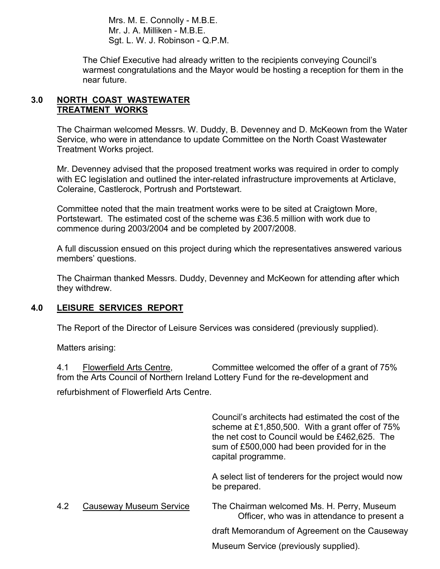Mrs. M. E. Connolly - M.B.E. Mr. J. A. Milliken - M.B.E. Sgt. L. W. J. Robinson - Q.P.M.

 The Chief Executive had already written to the recipients conveying Council's warmest congratulations and the Mayor would be hosting a reception for them in the near future.

#### **3.0 NORTH COAST WASTEWATER TREATMENT WORKS**

The Chairman welcomed Messrs. W. Duddy, B. Devenney and D. McKeown from the Water Service, who were in attendance to update Committee on the North Coast Wastewater Treatment Works project.

Mr. Devenney advised that the proposed treatment works was required in order to comply with EC legislation and outlined the inter-related infrastructure improvements at Articlave, Coleraine, Castlerock, Portrush and Portstewart.

Committee noted that the main treatment works were to be sited at Craigtown More, Portstewart. The estimated cost of the scheme was £36.5 million with work due to commence during 2003/2004 and be completed by 2007/2008.

A full discussion ensued on this project during which the representatives answered various members' questions.

The Chairman thanked Messrs. Duddy, Devenney and McKeown for attending after which they withdrew.

# **4.0 LEISURE SERVICES REPORT**

The Report of the Director of Leisure Services was considered (previously supplied).

Matters arising:

4.1 Flowerfield Arts Centre, Committee welcomed the offer of a grant of 75% from the Arts Council of Northern Ireland Lottery Fund for the re-development and

refurbishment of Flowerfield Arts Centre.

 Council's architects had estimated the cost of the scheme at £1,850,500. With a grant offer of 75% the net cost to Council would be £462,625. The sum of £500,000 had been provided for in the capital programme.

 A select list of tenderers for the project would now be prepared.

 4.2 Causeway Museum Service The Chairman welcomed Ms. H. Perry, Museum Officer, who was in attendance to present a draft Memorandum of Agreement on the Causeway

Museum Service (previously supplied).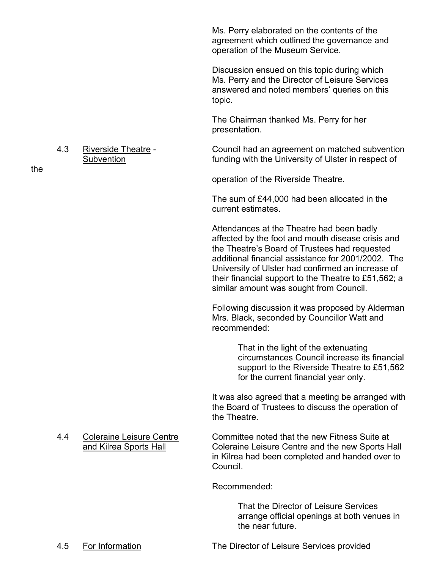Ms. Perry elaborated on the contents of the agreement which outlined the governance and operation of the Museum Service.

 Discussion ensued on this topic during which Ms. Perry and the Director of Leisure Services answered and noted members' queries on this topic.

 The Chairman thanked Ms. Perry for her presentation.

 4.3 Riverside Theatre - Council had an agreement on matched subvention Subvention **Subvention funding with the University of Ulster in respect of** 

operation of the Riverside Theatre.

The sum of £44,000 had been allocated in the current estimates.

Attendances at the Theatre had been badly affected by the foot and mouth disease crisis and the Theatre's Board of Trustees had requested additional financial assistance for 2001/2002. The University of Ulster had confirmed an increase of their financial support to the Theatre to £51,562; a similar amount was sought from Council.

Following discussion it was proposed by Alderman Mrs. Black, seconded by Councillor Watt and recommended:

> That in the light of the extenuating circumstances Council increase its financial support to the Riverside Theatre to £51,562 for the current financial year only.

 It was also agreed that a meeting be arranged with the Board of Trustees to discuss the operation of the Theatre.

4.4 Coleraine Leisure Centre Committee noted that the new Fitness Suite at and Kilrea Sports Hall Coleraine Leisure Centre and the new Sports Hall in Kilrea had been completed and handed over to Council.

Recommended:

 That the Director of Leisure Services arrange official openings at both venues in the near future.

the

4.5 For Information The Director of Leisure Services provided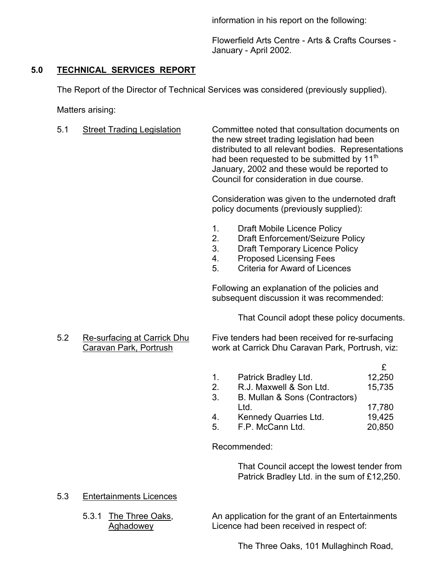information in his report on the following:

Flowerfield Arts Centre - Arts & Crafts Courses - January - April 2002.

# **5.0 TECHNICAL SERVICES REPORT**

The Report of the Director of Technical Services was considered (previously supplied).

Matters arising:

5.1 Street Trading Legislation Committee noted that consultation documents on the new street trading legislation had been distributed to all relevant bodies. Representations had been requested to be submitted by 11<sup>th</sup> January, 2002 and these would be reported to Council for consideration in due course.

> Consideration was given to the undernoted draft policy documents (previously supplied):

- 1. Draft Mobile Licence Policy
- 2. Draft Enforcement/Seizure Policy
- 3. Draft Temporary Licence Policy
- 4. Proposed Licensing Fees
- 5. Criteria for Award of Licences

Following an explanation of the policies and subsequent discussion it was recommended:

That Council adopt these policy documents.

 5.2 Re-surfacing at Carrick Dhu Five tenders had been received for re-surfacing Caravan Park, Portrush work at Carrick Dhu Caravan Park, Portrush, viz:

| $1_{-}$ | Patrick Bradley Ltd.           | 12,250 |
|---------|--------------------------------|--------|
|         | R.J. Maxwell & Son Ltd.        | 15,735 |
| 3.      | B. Mullan & Sons (Contractors) |        |
|         | Ltd.                           | 17,780 |
|         | Kennedy Quarries Ltd.          | 19,425 |
| 5.      | F.P. McCann Ltd.               | 20,850 |

Recommended:

 That Council accept the lowest tender from Patrick Bradley Ltd. in the sum of £12,250.

- 5.3 Entertainments Licences
	-

5.3.1 The Three Oaks, An application for the grant of an Entertainments Aghadowey Licence had been received in respect of:

The Three Oaks, 101 Mullaghinch Road,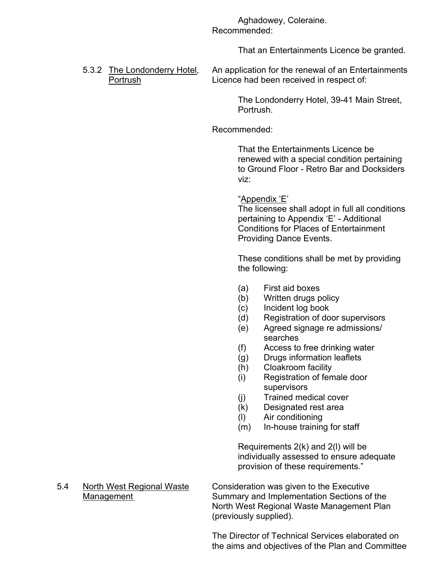Aghadowey, Coleraine. Recommended:

That an Entertainments Licence be granted.

5.3.2 The Londonderry Hotel, An application for the renewal of an Entertainments Portrush Licence had been received in respect of:

> The Londonderry Hotel, 39-41 Main Street, Portrush.

### Recommended:

 That the Entertainments Licence be renewed with a special condition pertaining to Ground Floor - Retro Bar and Docksiders viz:

#### "Appendix 'E'

 The licensee shall adopt in full all conditions pertaining to Appendix 'E' - Additional Conditions for Places of Entertainment Providing Dance Events.

 These conditions shall be met by providing the following:

- (a) First aid boxes
- (b) Written drugs policy
- (c) Incident log book
- (d) Registration of door supervisors
- (e) Agreed signage re admissions/ searches
- (f) Access to free drinking water
- (g) Drugs information leaflets
- (h) Cloakroom facility
- (i) Registration of female door supervisors
- (j) Trained medical cover
- (k) Designated rest area
- (l) Air conditioning
- (m) In-house training for staff

 Requirements 2(k) and 2(l) will be individually assessed to ensure adequate provision of these requirements."

 5.4 North West Regional Waste Consideration was given to the Executive Management Summary and Implementation Sections of the North West Regional Waste Management Plan (previously supplied).

> The Director of Technical Services elaborated on the aims and objectives of the Plan and Committee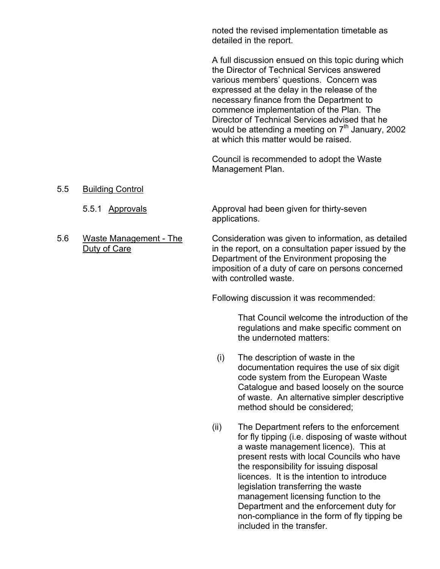noted the revised implementation timetable as detailed in the report.

A full discussion ensued on this topic during which the Director of Technical Services answered various members' questions. Concern was expressed at the delay in the release of the necessary finance from the Department to commence implementation of the Plan. The Director of Technical Services advised that he would be attending a meeting on  $7<sup>th</sup>$  January, 2002 at which this matter would be raised.

Council is recommended to adopt the Waste Management Plan.

5.5 Building Control

5.5.1 Approvals Approval had been given for thirty-seven applications.

 5.6 Waste Management - The Consideration was given to information, as detailed Duty of Care in the report, on a consultation paper issued by the Department of the Environment proposing the imposition of a duty of care on persons concerned with controlled waste.

Following discussion it was recommended:

 That Council welcome the introduction of the regulations and make specific comment on the undernoted matters:

- (i) The description of waste in the documentation requires the use of six digit code system from the European Waste Catalogue and based loosely on the source of waste. An alternative simpler descriptive method should be considered;
- (ii) The Department refers to the enforcement for fly tipping (i.e. disposing of waste without a waste management licence). This at present rests with local Councils who have the responsibility for issuing disposal licences. It is the intention to introduce legislation transferring the waste management licensing function to the Department and the enforcement duty for non-compliance in the form of fly tipping be included in the transfer.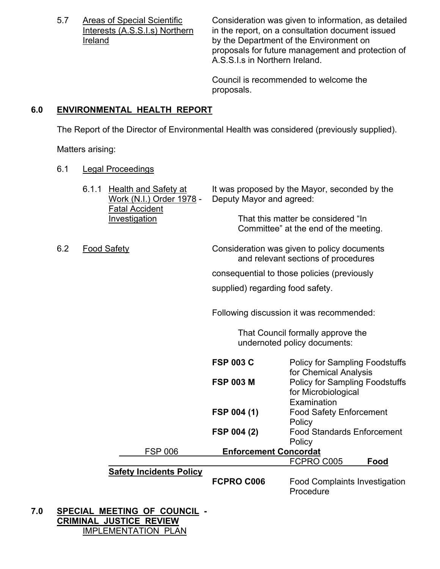5.7 Areas of Special Scientific Consideration was given to information, as detailed<br>Interests (A.S.S.I.s) Northern in the report, on a consultation document issued in the report, on a consultation document issued **Ireland** by the Department of the Environment on proposals for future management and protection of A.S.S.I.s in Northern Ireland.

> Council is recommended to welcome the proposals.

# **6.0 ENVIRONMENTAL HEALTH REPORT**

The Report of the Director of Environmental Health was considered (previously supplied).

Matters arising:

6.1 Legal Proceedings

|     |     | 6.1.1 | Health and Safety at<br>Work (N.I.) Order 1978 -<br><b>Fatal Accident</b> | Deputy Mayor and agreed:         | It was proposed by the Mayor, seconded by the                                      |  |  |
|-----|-----|-------|---------------------------------------------------------------------------|----------------------------------|------------------------------------------------------------------------------------|--|--|
|     |     |       | Investigation                                                             |                                  | That this matter be considered "In<br>Committee" at the end of the meeting.        |  |  |
|     | 6.2 |       | <b>Food Safety</b>                                                        |                                  | Consideration was given to policy documents<br>and relevant sections of procedures |  |  |
|     |     |       |                                                                           |                                  | consequential to those policies (previously                                        |  |  |
|     |     |       |                                                                           | supplied) regarding food safety. |                                                                                    |  |  |
|     |     |       |                                                                           |                                  | Following discussion it was recommended:                                           |  |  |
|     |     |       |                                                                           |                                  | That Council formally approve the<br>undernoted policy documents:                  |  |  |
|     |     |       |                                                                           | <b>FSP 003 C</b>                 | <b>Policy for Sampling Foodstuffs</b><br>for Chemical Analysis                     |  |  |
|     |     |       |                                                                           | <b>FSP 003 M</b>                 | <b>Policy for Sampling Foodstuffs</b><br>for Microbiological<br>Examination        |  |  |
|     |     |       |                                                                           | FSP 004 (1)                      | <b>Food Safety Enforcement</b><br>Policy                                           |  |  |
|     |     |       |                                                                           | FSP 004 (2)                      | <b>Food Standards Enforcement</b><br>Policy                                        |  |  |
|     |     |       | <b>FSP 006</b>                                                            | <b>Enforcement Concordat</b>     |                                                                                    |  |  |
|     |     |       |                                                                           |                                  | FCPRO C005<br>Food                                                                 |  |  |
|     |     |       | <b>Safety Incidents Policy</b>                                            | FCPRO C006                       | <b>Food Complaints Investigation</b><br>Procedure                                  |  |  |
| 7.0 |     |       | SPECIAL MEETING OF COUNCIL -                                              |                                  |                                                                                    |  |  |

**7.0 SPECIAL MEETING OF COUNCIL - CRIMINAL JUSTICE REVIEW** IMPLEMENTATION PLAN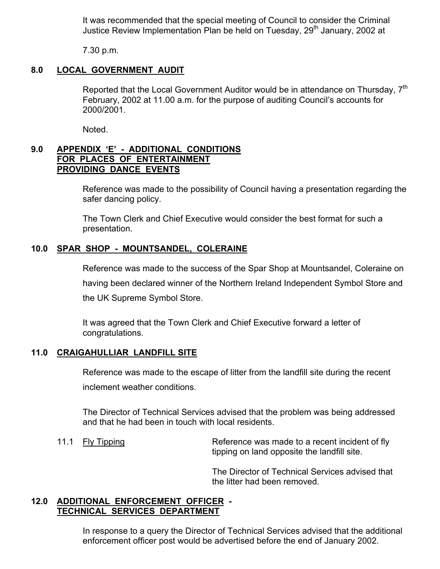It was recommended that the special meeting of Council to consider the Criminal Justice Review Implementation Plan be held on Tuesday, 29<sup>th</sup> January, 2002 at

7.30 p.m.

#### **8.0 LOCAL GOVERNMENT AUDIT**

Reported that the Local Government Auditor would be in attendance on Thursday, 7<sup>th</sup> February, 2002 at 11.00 a.m. for the purpose of auditing Council's accounts for 2000/2001.

Noted.

### **9.0 APPENDIX 'E' - ADDITIONAL CONDITIONS FOR PLACES OF ENTERTAINMENT PROVIDING DANCE EVENTS**

Reference was made to the possibility of Council having a presentation regarding the safer dancing policy.

The Town Clerk and Chief Executive would consider the best format for such a presentation.

### **10.0 SPAR SHOP - MOUNTSANDEL, COLERAINE**

 Reference was made to the success of the Spar Shop at Mountsandel, Coleraine on having been declared winner of the Northern Ireland Independent Symbol Store and the UK Supreme Symbol Store.

 It was agreed that the Town Clerk and Chief Executive forward a letter of congratulations.

# **11.0 CRAIGAHULLIAR LANDFILL SITE**

 Reference was made to the escape of litter from the landfill site during the recent inclement weather conditions.

 The Director of Technical Services advised that the problem was being addressed and that he had been in touch with local residents.

11.1 Fly Tipping **Reference was made to a recent incident of fly** tipping on land opposite the landfill site.

> The Director of Technical Services advised that the litter had been removed.

# **12.0 ADDITIONAL ENFORCEMENT OFFICER - TECHNICAL SERVICES DEPARTMENT**

 In response to a query the Director of Technical Services advised that the additional enforcement officer post would be advertised before the end of January 2002.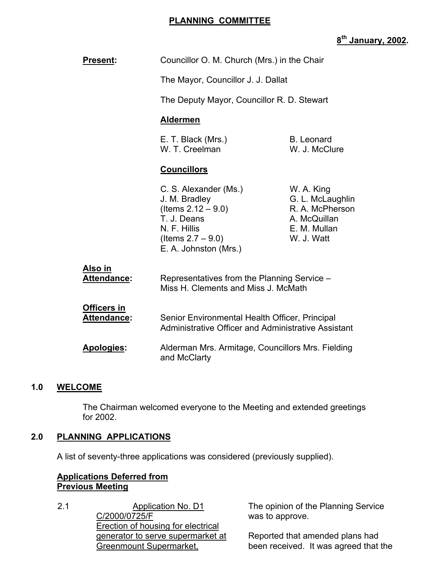#### **PLANNING COMMITTEE**

# **8th January, 2002.**

| <b>Present:</b>                          | Councillor O. M. Church (Mrs.) in the Chair                                                                                                     |                                                                                                                                       |  |  |
|------------------------------------------|-------------------------------------------------------------------------------------------------------------------------------------------------|---------------------------------------------------------------------------------------------------------------------------------------|--|--|
|                                          | The Mayor, Councillor J. J. Dallat                                                                                                              |                                                                                                                                       |  |  |
|                                          | The Deputy Mayor, Councillor R. D. Stewart                                                                                                      |                                                                                                                                       |  |  |
|                                          | <b>Aldermen</b>                                                                                                                                 | <b>B.</b> Leonard<br>W. J. McClure<br>W. A. King<br>G. L. McLaughlin<br>R. A. McPherson<br>A. McQuillan<br>E. M. Mullan<br>W. J. Watt |  |  |
|                                          | E. T. Black (Mrs.)<br>W. T. Creelman                                                                                                            |                                                                                                                                       |  |  |
|                                          | <b>Councillors</b>                                                                                                                              |                                                                                                                                       |  |  |
|                                          | C. S. Alexander (Ms.)<br>J. M. Bradley<br>(Items $2.12 - 9.0$ )<br>T. J. Deans<br>N. F. Hillis<br>(Items $2.7 - 9.0$ )<br>E. A. Johnston (Mrs.) |                                                                                                                                       |  |  |
| <u>Also in</u><br><b>Attendance:</b>     | Representatives from the Planning Service –<br>Miss H. Clements and Miss J. McMath                                                              |                                                                                                                                       |  |  |
| <b>Officers in</b><br><b>Attendance:</b> | Senior Environmental Health Officer, Principal<br>Administrative Officer and Administrative Assistant                                           |                                                                                                                                       |  |  |
| <b>Apologies:</b>                        | Alderman Mrs. Armitage, Councillors Mrs. Fielding<br>and McClarty                                                                               |                                                                                                                                       |  |  |

#### **1.0 WELCOME**

 The Chairman welcomed everyone to the Meeting and extended greetings for 2002.

#### **2.0 PLANNING APPLICATIONS**

A list of seventy-three applications was considered (previously supplied).

### **Applications Deferred from Previous Meeting**

2.1 Application No. D1 C/2000/0725/F Erection of housing for electrical generator to serve supermarket at Greenmount Supermarket,

The opinion of the Planning Service was to approve.

Reported that amended plans had been received. It was agreed that the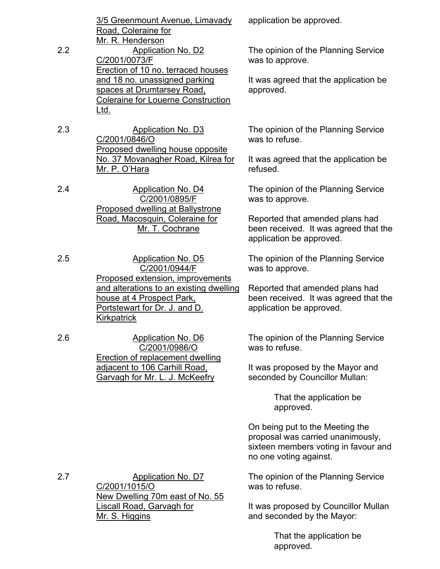|     | 3/5 Greenmount Avenue, Limavady           |
|-----|-------------------------------------------|
|     | Road, Coleraine for                       |
|     | Mr. R. Henderson                          |
| 2.2 | Application No. D2                        |
|     | C/2001/0073/F                             |
|     | Erection of 10 no. terraced houses        |
|     | and 18 no. unassigned parking             |
|     | spaces at Drumtarsey Road,                |
|     | <b>Coleraine for Louerne Construction</b> |
|     | _td                                       |

2.3 Application No. D3 C/2001/0846/O Proposed dwelling house opposite No. 37 Movanagher Road, Kilrea for Mr. P. O'Hara

2.4 Application No. D4 C/2001/0895/F Proposed dwelling at Ballystrone Road, Macosquin, Coleraine for Mr. T. Cochrane

2.5 Application No. D5 C/2001/0944/F Proposed extension, improvements and alterations to an existing dwelling house at 4 Prospect Park, Portstewart for Dr. J. and D. **Kirkpatrick** 

2.6 Application No. D6 C/2001/0986/O Erection of replacement dwelling adjacent to 106 Carhill Road, Garvagh for Mr. L. J. McKeefry

application be approved.

The opinion of the Planning Service was to approve.

It was agreed that the application be approved.

The opinion of the Planning Service was to refuse.

It was agreed that the application be refused.

The opinion of the Planning Service was to approve.

Reported that amended plans had been received. It was agreed that the application be approved.

The opinion of the Planning Service was to approve.

Reported that amended plans had been received. It was agreed that the application be approved.

The opinion of the Planning Service was to refuse.

It was proposed by the Mayor and seconded by Councillor Mullan:

> That the application be approved.

On being put to the Meeting the proposal was carried unanimously, sixteen members voting in favour and no one voting against.

The opinion of the Planning Service was to refuse.

It was proposed by Councillor Mullan and seconded by the Mayor:

> That the application be approved.

2.7 Application No. D7 C/2001/1015/O New Dwelling 70m east of No. 55 Liscall Road, Garvagh for Mr. S. Higgins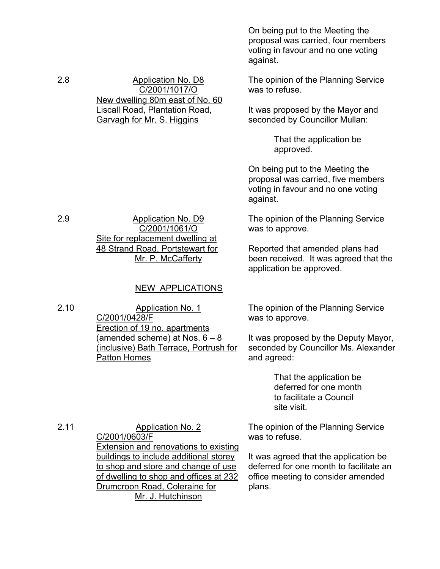On being put to the Meeting the proposal was carried, four members voting in favour and no one voting against.

The opinion of the Planning Service was to refuse.

It was proposed by the Mayor and seconded by Councillor Mullan:

> That the application be approved.

On being put to the Meeting the proposal was carried, five members voting in favour and no one voting against.

The opinion of the Planning Service was to approve.

Reported that amended plans had been received. It was agreed that the application be approved.

The opinion of the Planning Service was to approve.

It was proposed by the Deputy Mayor, seconded by Councillor Ms. Alexander and agreed:

> That the application be deferred for one month to facilitate a Council site visit.

The opinion of the Planning Service was to refuse.

It was agreed that the application be deferred for one month to facilitate an office meeting to consider amended plans.

2.8 Application No. D8 C/2001/1017/O New dwelling 80m east of No. 60 Liscall Road, Plantation Road, Garvagh for Mr. S. Higgins

2.9 Application No. D9 C/2001/1061/O Site for replacement dwelling at 48 Strand Road, Portstewart for Mr. P. McCafferty

# NEW APPLICATIONS

2.10 Application No. 1 C/2001/0428/F Erection of 19 no. apartments (amended scheme) at Nos.  $6 - 8$ (inclusive) Bath Terrace, Portrush for Patton Homes

2.11 Application No. 2 C/2001/0603/F Extension and renovations to existing buildings to include additional storey to shop and store and change of use of dwelling to shop and offices at 232 Drumcroon Road, Coleraine for Mr. J. Hutchinson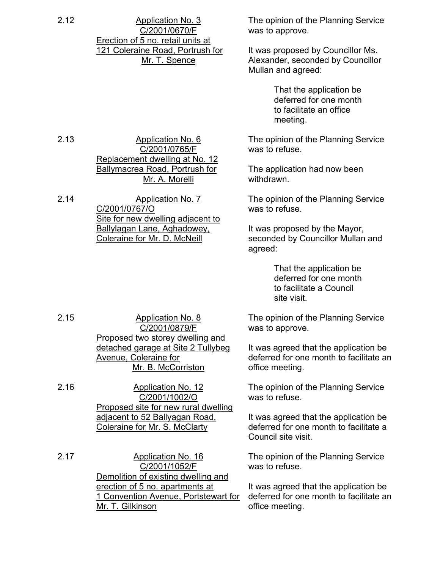2.12 Application No. 3 C/2001/0670/F Erection of 5 no. retail units at 121 Coleraine Road, Portrush for Mr. T. Spence

C/2001/0765/F

Mr. A. Morelli

Replacement dwelling at No. 12 Ballymacrea Road, Portrush for

Site for new dwelling adjacent to Ballylagan Lane, Aghadowey, Coleraine for Mr. D. McNeill

2.13 Application No. 6

2.14 Application No. 7 C/2001/0767/O

The opinion of the Planning Service was to approve.

It was proposed by Councillor Ms. Alexander, seconded by Councillor Mullan and agreed:

> That the application be deferred for one month to facilitate an office meeting.

The opinion of the Planning Service was to refuse.

The application had now been withdrawn.

The opinion of the Planning Service was to refuse.

It was proposed by the Mayor, seconded by Councillor Mullan and agreed:

> That the application be deferred for one month to facilitate a Council site visit.

The opinion of the Planning Service was to approve.

It was agreed that the application be deferred for one month to facilitate an office meeting.

The opinion of the Planning Service was to refuse.

It was agreed that the application be deferred for one month to facilitate a Council site visit.

The opinion of the Planning Service was to refuse.

It was agreed that the application be deferred for one month to facilitate an office meeting.

2.15 Application No. 8 C/2001/0879/F Proposed two storey dwelling and detached garage at Site 2 Tullybeg Avenue, Coleraine for Mr. B. McCorriston

2.16 Application No. 12 C/2001/1002/O Proposed site for new rural dwelling adjacent to 52 Ballyagan Road, Coleraine for Mr. S. McClarty

2.17 Application No. 16 C/2001/1052/F Demolition of existing dwelling and erection of 5 no. apartments at 1 Convention Avenue, Portstewart for Mr. T. Gilkinson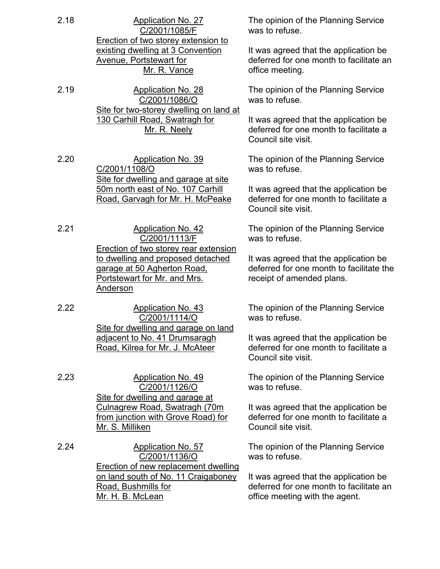- 2.18 Application No. 27 C/2001/1085/F Erection of two storey extension to existing dwelling at 3 Convention Avenue, Portstewart for Mr. R. Vance
- 2.19 Application No. 28 C/2001/1086/O Site for two-storey dwelling on land at 130 Carhill Road, Swatragh for Mr. R. Neely
- 2.20 Application No. 39 C/2001/1108/O Site for dwelling and garage at site 50m north east of No. 107 Carhill Road, Garvagh for Mr. H. McPeake
- 2.21 Application No. 42 C/2001/1113/F Erection of two storey rear extension to dwelling and proposed detached garage at 50 Agherton Road, Portstewart for Mr. and Mrs. Anderson
- 2.22 Application No. 43 C/2001/1114/O Site for dwelling and garage on land adjacent to No. 41 Drumsaragh Road, Kilrea for Mr. J. McAteer
- 2.23 Application No. 49 C/2001/1126/O Site for dwelling and garage at Culnagrew Road, Swatragh (70m from junction with Grove Road) for Mr. S. Milliken
- 2.24 Application No. 57 C/2001/1136/O Erection of new replacement dwelling on land south of No. 11 Craigaboney Road, Bushmills for Mr. H. B. McLean

The opinion of the Planning Service was to refuse.

It was agreed that the application be deferred for one month to facilitate an office meeting.

The opinion of the Planning Service was to refuse.

It was agreed that the application be deferred for one month to facilitate a Council site visit.

The opinion of the Planning Service was to refuse.

It was agreed that the application be deferred for one month to facilitate a Council site visit.

The opinion of the Planning Service was to refuse.

It was agreed that the application be deferred for one month to facilitate the receipt of amended plans.

The opinion of the Planning Service was to refuse.

It was agreed that the application be deferred for one month to facilitate a Council site visit.

The opinion of the Planning Service was to refuse.

It was agreed that the application be deferred for one month to facilitate a Council site visit.

The opinion of the Planning Service was to refuse.

It was agreed that the application be deferred for one month to facilitate an office meeting with the agent.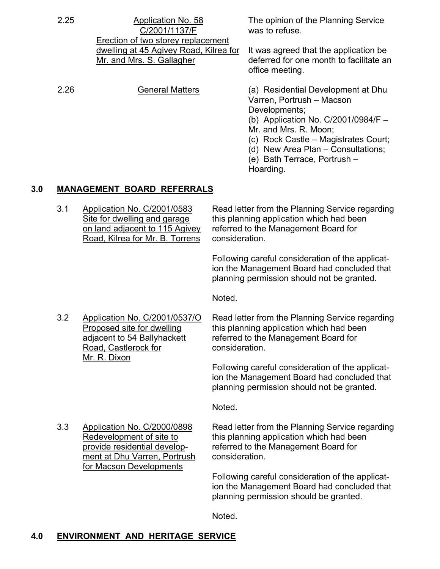| 2.25 | Application No. 58<br>C/2001/1137/F<br>Erection of two storey replacement | The opinion of the Planning Service<br>was to refuse.                                                                                                                                                                                                                         |  |  |  |
|------|---------------------------------------------------------------------------|-------------------------------------------------------------------------------------------------------------------------------------------------------------------------------------------------------------------------------------------------------------------------------|--|--|--|
|      | dwelling at 45 Agivey Road, Kilrea for<br>Mr. and Mrs. S. Gallagher       | It was agreed that the application be<br>deferred for one month to facilitate an<br>office meeting.                                                                                                                                                                           |  |  |  |
| 2.26 | <b>General Matters</b>                                                    | (a) Residential Development at Dhu<br>Varren, Portrush - Macson<br>Developments;<br>(b) Application No. $C/2001/0984/F$ –<br>Mr. and Mrs. R. Moon;<br>(c) Rock Castle – Magistrates Court;<br>(d) New Area Plan – Consultations;<br>(e) Bath Terrace, Portrush –<br>Hoarding. |  |  |  |

### **3.0 MANAGEMENT BOARD REFERRALS**

Road, Kilrea for Mr. B. Torrens consideration.

 3.1 Application No. C/2001/0583 Read letter from the Planning Service regarding Site for dwelling and garage this planning application which had been on land adjacent to 115 Agivey referred to the Management Board for

> Following careful consideration of the applicat ion the Management Board had concluded that planning permission should not be granted.

Noted.

Road, Castlerock for **consideration**. Mr. R. Dixon

 3.2 Application No. C/2001/0537/O Read letter from the Planning Service regarding Proposed site for dwelling this planning application which had been adjacent to 54 Ballyhackett referred to the Management Board for

> Following careful consideration of the applicat ion the Management Board had concluded that planning permission should not be granted.

Noted.

ment at Dhu Varren, Portrush consideration. for Macson Developments

 3.3 Application No. C/2000/0898 Read letter from the Planning Service regarding Redevelopment of site to this planning application which had been provide residential develop- referred to the Management Board for

> Following careful consideration of the applicat ion the Management Board had concluded that planning permission should be granted.

noted. The contract of the contract of the Noted.

# **4.0 ENVIRONMENT AND HERITAGE SERVICE**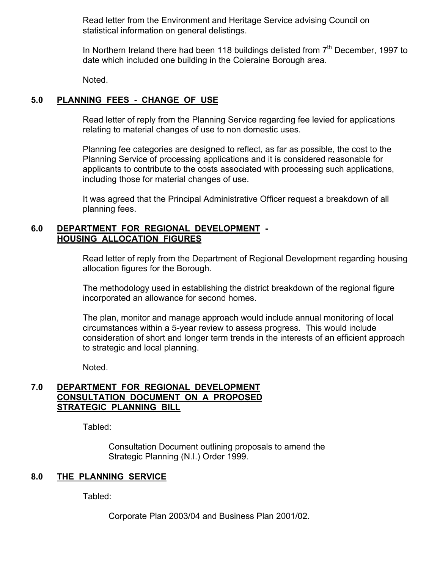Read letter from the Environment and Heritage Service advising Council on statistical information on general delistings.

In Northern Ireland there had been 118 buildings delisted from  $7<sup>th</sup>$  December, 1997 to date which included one building in the Coleraine Borough area.

Noted.

# **5.0 PLANNING FEES - CHANGE OF USE**

 Read letter of reply from the Planning Service regarding fee levied for applications relating to material changes of use to non domestic uses.

 Planning fee categories are designed to reflect, as far as possible, the cost to the Planning Service of processing applications and it is considered reasonable for applicants to contribute to the costs associated with processing such applications, including those for material changes of use.

 It was agreed that the Principal Administrative Officer request a breakdown of all planning fees.

#### **6.0 DEPARTMENT FOR REGIONAL DEVELOPMENT - HOUSING ALLOCATION FIGURES**

 Read letter of reply from the Department of Regional Development regarding housing allocation figures for the Borough.

 The methodology used in establishing the district breakdown of the regional figure incorporated an allowance for second homes.

The plan, monitor and manage approach would include annual monitoring of local circumstances within a 5-year review to assess progress. This would include consideration of short and longer term trends in the interests of an efficient approach to strategic and local planning.

Noted.

### **7.0 DEPARTMENT FOR REGIONAL DEVELOPMENT CONSULTATION DOCUMENT ON A PROPOSED STRATEGIC PLANNING BILL**

Tabled:

 Consultation Document outlining proposals to amend the Strategic Planning (N.I.) Order 1999.

# **8.0 THE PLANNING SERVICE**

Tabled:

Corporate Plan 2003/04 and Business Plan 2001/02.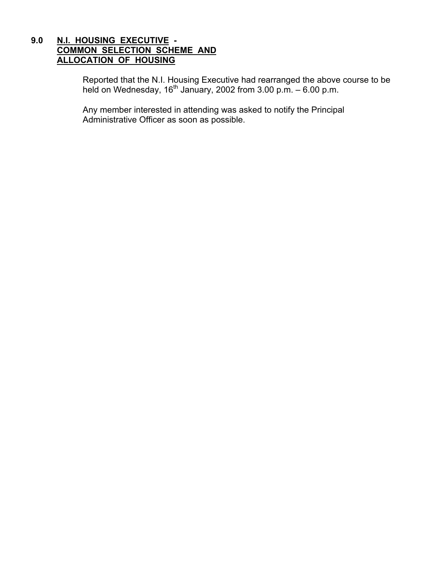#### **9.0 N.I. HOUSING EXECUTIVE - COMMON SELECTION SCHEME AND ALLOCATION OF HOUSING**

Reported that the N.I. Housing Executive had rearranged the above course to be held on Wednesday, 16<sup>th</sup> January, 2002 from 3.00 p.m.  $-6.00$  p.m.

> Any member interested in attending was asked to notify the Principal Administrative Officer as soon as possible.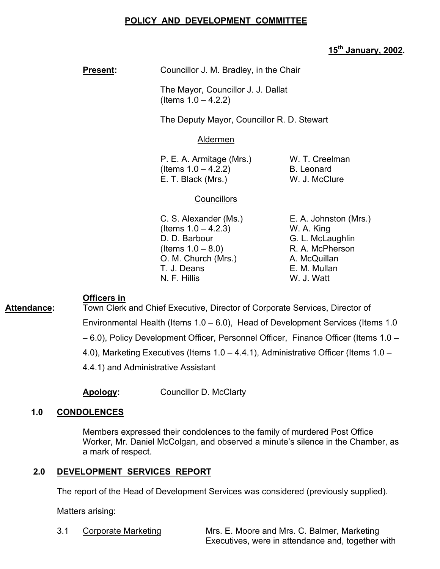# **POLICY AND DEVELOPMENT COMMITTEE**

# **15th January, 2002.**

**Present: Councillor J. M. Bradley, in the Chair** 

 The Mayor, Councillor J. J. Dallat (Items  $1.0 - 4.2.2$ )

The Deputy Mayor, Councillor R. D. Stewart

#### Aldermen

P. E. A. Armitage (Mrs.) W. T. Creelman  $($ ltems  $1.0 - 4.2.2)$  B. Leonard E. T. Black (Mrs.) W. J. McClure

### **Councillors**

C. S. Alexander (Ms.) E. A. Johnston (Mrs.)  $($  Items  $1.0 - 4.2.3)$  W. A. King D. D. Barbour G. L. McLaughlin  $($ ltems  $1.0 - 8.0$ ) R. A. McPherson O. M. Church (Mrs.) A. McQuillan T. J. Deans **E. M. Mullan** N. F. Hillis W. J. Watt

#### **Officers in**

Attendance: Town Clerk and Chief Executive, Director of Corporate Services, Director of Environmental Health (Items 1.0 – 6.0), Head of Development Services (Items 1.0 – 6.0), Policy Development Officer, Personnel Officer, Finance Officer (Items 1.0 – 4.0), Marketing Executives (Items 1.0 – 4.4.1), Administrative Officer (Items 1.0 – 4.4.1) and Administrative Assistant

**Apology:** Councillor D. McClarty

# **1.0 CONDOLENCES**

Members expressed their condolences to the family of murdered Post Office Worker, Mr. Daniel McColgan, and observed a minute's silence in the Chamber, as a mark of respect.

#### **2.0 DEVELOPMENT SERVICES REPORT**

The report of the Head of Development Services was considered (previously supplied).

Matters arising:

3.1 Corporate Marketing Mrs. E. Moore and Mrs. C. Balmer, Marketing

Executives, were in attendance and, together with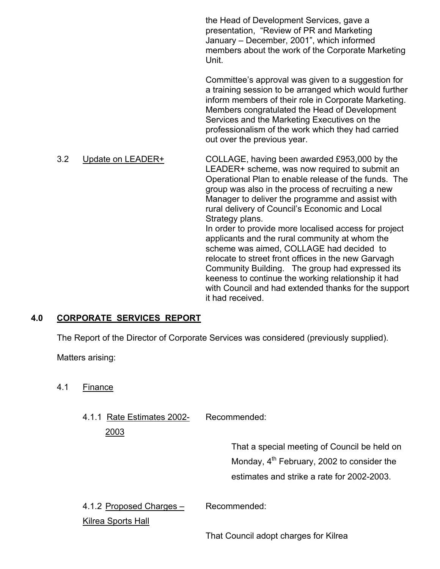the Head of Development Services, gave a presentation, "Review of PR and Marketing January – December, 2001", which informed members about the work of the Corporate Marketing **Unit.** The contract of the contract of the Unit.

> Committee's approval was given to a suggestion for a training session to be arranged which would further inform members of their role in Corporate Marketing. Members congratulated the Head of Development Services and the Marketing Executives on the professionalism of the work which they had carried out over the previous year.

 3.2 Update on LEADER+ COLLAGE, having been awarded £953,000 by the LEADER+ scheme, was now required to submit an Operational Plan to enable release of the funds. The group was also in the process of recruiting a new Manager to deliver the programme and assist with rural delivery of Council's Economic and Local Strategy plans. In order to provide more localised access for project applicants and the rural community at whom the scheme was aimed, COLLAGE had decided to relocate to street front offices in the new Garvagh Community Building. The group had expressed its keeness to continue the working relationship it had with Council and had extended thanks for the support it had received.

#### **4.0 CORPORATE SERVICES REPORT**

The Report of the Director of Corporate Services was considered (previously supplied).

Matters arising:

- 4.1 Finance
	- 4.1.1 Rate Estimates 2002- Recommended:

 That a special meeting of Council be held on Monday,  $4<sup>th</sup>$  February, 2002 to consider the estimates and strike a rate for 2002-2003.

4.1.2 Proposed Charges – Recommended:

Kilrea Sports Hall

2003

That Council adopt charges for Kilrea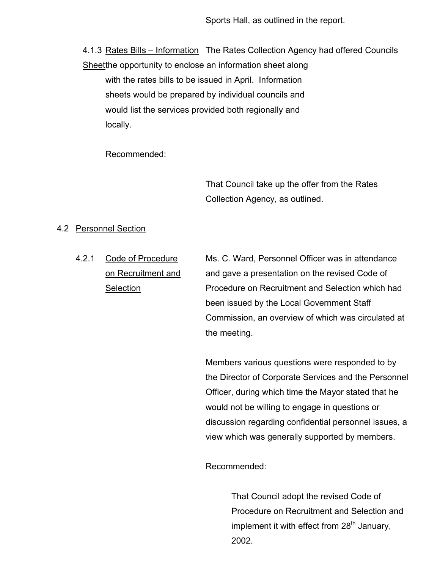Sports Hall, as outlined in the report.

4.1.3 Rates Bills – Information The Rates Collection Agency had offered Councils Sheetthe opportunity to enclose an information sheet along

 with the rates bills to be issued in April. Information sheets would be prepared by individual councils and would list the services provided both regionally and locally.

Recommended:

 That Council take up the offer from the Rates Collection Agency, as outlined.

#### 4.2 Personnel Section

4.2.1 Code of Procedure Ms. C. Ward, Personnel Officer was in attendance on Recruitment and and gave a presentation on the revised Code of Selection **Procedure on Recruitment and Selection which had**  been issued by the Local Government Staff Commission, an overview of which was circulated at the meeting.

> Members various questions were responded to by the Director of Corporate Services and the Personnel Officer, during which time the Mayor stated that he would not be willing to engage in questions or discussion regarding confidential personnel issues, a view which was generally supported by members.

Recommended:

 That Council adopt the revised Code of Procedure on Recruitment and Selection and implement it with effect from  $28<sup>th</sup>$  January, 2002.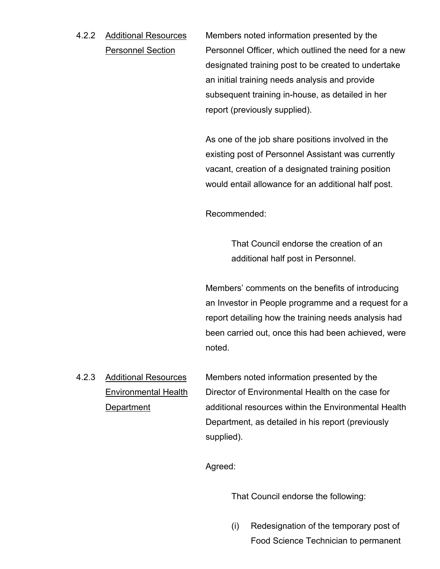4.2.2 Additional Resources Members noted information presented by the Personnel Section Personnel Officer, which outlined the need for a new designated training post to be created to undertake an initial training needs analysis and provide subsequent training in-house, as detailed in her report (previously supplied).

> As one of the job share positions involved in the existing post of Personnel Assistant was currently vacant, creation of a designated training position would entail allowance for an additional half post.

Recommended:

 That Council endorse the creation of an additional half post in Personnel.

 Members' comments on the benefits of introducing an Investor in People programme and a request for a report detailing how the training needs analysis had been carried out, once this had been achieved, were noted.

4.2.3 Additional Resources Members noted information presented by the Environmental Health Director of Environmental Health on the case for Department additional resources within the Environmental Health Department, as detailed in his report (previously supplied).

Agreed:

That Council endorse the following:

(i) Redesignation of the temporary post of Food Science Technician to permanent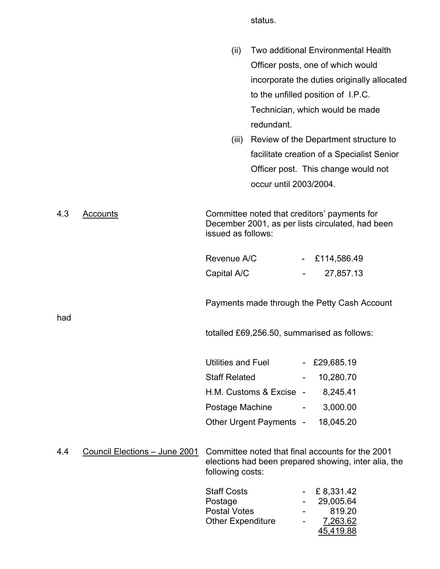status.

|     |                               | (ii)<br>(iii)                                                                    | redundant.              |                          | Two additional Environmental Health<br>Officer posts, one of which would<br>incorporate the duties originally allocated<br>to the unfilled position of I.P.C.<br>Technician, which would be made<br>Review of the Department structure to<br>facilitate creation of a Specialist Senior<br>Officer post. This change would not |
|-----|-------------------------------|----------------------------------------------------------------------------------|-------------------------|--------------------------|--------------------------------------------------------------------------------------------------------------------------------------------------------------------------------------------------------------------------------------------------------------------------------------------------------------------------------|
|     |                               |                                                                                  | occur until 2003/2004.  |                          |                                                                                                                                                                                                                                                                                                                                |
| 4.3 | Accounts                      | issued as follows:                                                               |                         |                          | Committee noted that creditors' payments for<br>December 2001, as per lists circulated, had been                                                                                                                                                                                                                               |
|     |                               | Revenue A/C                                                                      |                         | $\sim$                   | £114,586.49                                                                                                                                                                                                                                                                                                                    |
|     |                               | Capital A/C                                                                      |                         | $\blacksquare$           | 27,857.13                                                                                                                                                                                                                                                                                                                      |
| had |                               |                                                                                  |                         |                          | Payments made through the Petty Cash Account                                                                                                                                                                                                                                                                                   |
|     |                               |                                                                                  |                         |                          | totalled £69,256.50, summarised as follows:                                                                                                                                                                                                                                                                                    |
|     |                               | Utilities and Fuel                                                               |                         |                          | - £29,685.19                                                                                                                                                                                                                                                                                                                   |
|     |                               | <b>Staff Related</b>                                                             |                         |                          | 10,280.70                                                                                                                                                                                                                                                                                                                      |
|     |                               |                                                                                  | H.M. Customs & Excise - |                          | 8,245.41                                                                                                                                                                                                                                                                                                                       |
|     |                               | Postage Machine                                                                  |                         | $\overline{\phantom{a}}$ | 3,000.00                                                                                                                                                                                                                                                                                                                       |
|     |                               |                                                                                  | Other Urgent Payments - |                          | 18,045.20                                                                                                                                                                                                                                                                                                                      |
| 4.4 | Council Elections - June 2001 | following costs:                                                                 |                         |                          | Committee noted that final accounts for the 2001<br>elections had been prepared showing, inter alia, the                                                                                                                                                                                                                       |
|     |                               | <b>Staff Costs</b><br>Postage<br><b>Postal Votes</b><br><b>Other Expenditure</b> |                         |                          | £8,331.42<br>29,005.64<br>819.20<br><u>7,263.62</u><br>45,419.88                                                                                                                                                                                                                                                               |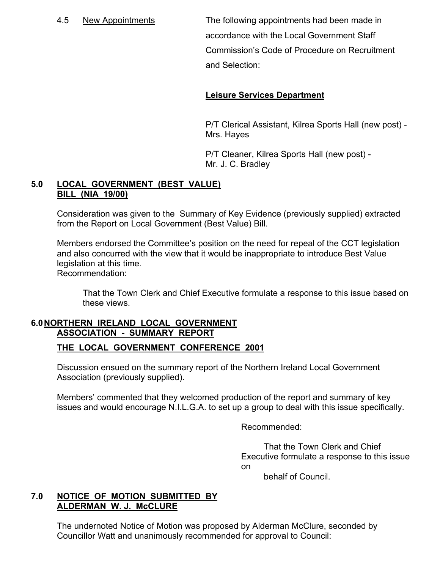4.5 New Appointments The following appointments had been made in accordance with the Local Government Staff Commission's Code of Procedure on Recruitment and Selection:

## **Leisure Services Department**

 P/T Clerical Assistant, Kilrea Sports Hall (new post) - Mrs. Hayes

 P/T Cleaner, Kilrea Sports Hall (new post) - Mr. J. C. Bradley

#### **5.0 LOCAL GOVERNMENT (BEST VALUE) BILL (NIA 19/00)**

 Consideration was given to the Summary of Key Evidence (previously supplied) extracted from the Report on Local Government (Best Value) Bill.

 Members endorsed the Committee's position on the need for repeal of the CCT legislation and also concurred with the view that it would be inappropriate to introduce Best Value legislation at this time. Recommendation:

 That the Town Clerk and Chief Executive formulate a response to this issue based on these views.

#### **6.0 NORTHERN IRELAND LOCAL GOVERNMENT ASSOCIATION - SUMMARY REPORT**

#### **THE LOCAL GOVERNMENT CONFERENCE 2001**

Discussion ensued on the summary report of the Northern Ireland Local Government Association (previously supplied).

Members' commented that they welcomed production of the report and summary of key issues and would encourage N.I.L.G.A. to set up a group to deal with this issue specifically.

Recommended:

 That the Town Clerk and Chief Executive formulate a response to this issue on

behalf of Council.

#### **7.0 NOTICE OF MOTION SUBMITTED BY ALDERMAN W. J. McCLURE**

 The undernoted Notice of Motion was proposed by Alderman McClure, seconded by Councillor Watt and unanimously recommended for approval to Council: